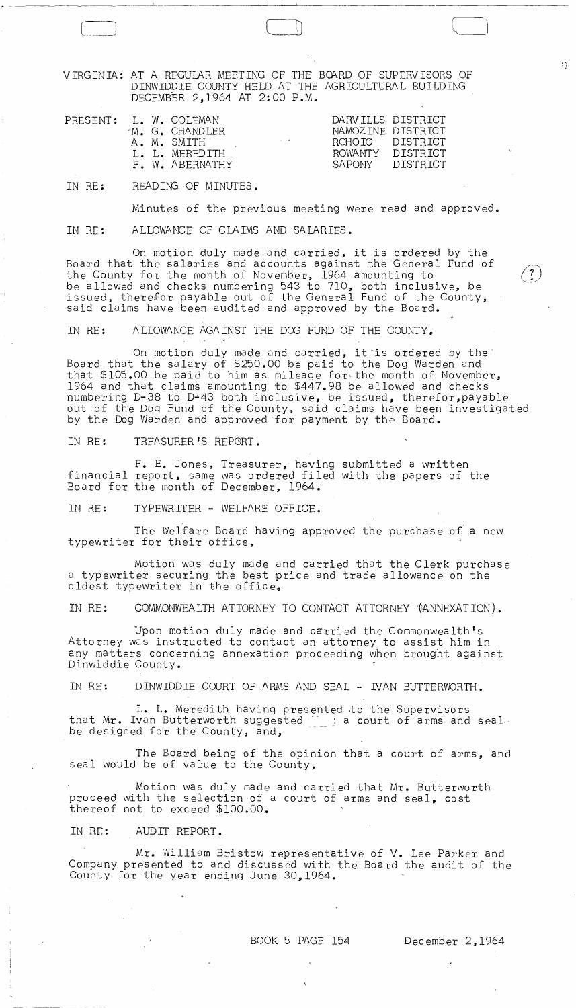VIRGINIA: AT A REGULAR MEETING OF THE BOARD OF SUPERVISORS OF DINWIDDIE COUNTY HELD AT THE AGRICULTURAL BUILDING DECEMBER 2,1964 AT 2:00 P.M.

 $\begin{picture}(150,10) \put(0,0){\line(1,0){10}} \put(15,0){\line(1,0){10}} \put(15,0){\line(1,0){10}} \put(15,0){\line(1,0){10}} \put(15,0){\line(1,0){10}} \put(15,0){\line(1,0){10}} \put(15,0){\line(1,0){10}} \put(15,0){\line(1,0){10}} \put(15,0){\line(1,0){10}} \put(15,0){\line(1,0){10}} \put(15,0){\line(1,0){10}} \put(15,0){\line($ 

 $\Omega$ 

 $\frac{7}{2}$ 

| PRESENT: |  |  | L. W. COLEMAN<br>M. G. CHANDLER<br>$\sim$ $ \alpha$<br>A. M. SMITH<br>L. L. MEREDITH<br>F. W. ABERNATHY | DARVILLS DISTRICT<br>ROHOTC DISTRICT<br>ROWANTY<br>SAPONIY | NAMOZINE DISTRICT<br>DISTRICT<br>DISTRICT |
|----------|--|--|---------------------------------------------------------------------------------------------------------|------------------------------------------------------------|-------------------------------------------|
|----------|--|--|---------------------------------------------------------------------------------------------------------|------------------------------------------------------------|-------------------------------------------|

IN RE: READIN3 OF MINUTES.

Minutes of the previous meeting were read and approved.

IN RE: ALLOWANCE OF CLAIMS AND SALARIES.

On motion duly made and carried, it is ordered by the Board that the salaries and accounts against the General Fund of the County for the month of November, 1964 amounting to be allowed and checks numbering 543 to 710, both inclusive, be issued, therefor payable out of the General Fund of the County, said claims have been audited and approved by the Board.

IN RE: ALLOWANCE AGAINST THE DOG FUND OF THE COUNTY.

On motion duly made and carried, it is ordered by the Board that the salary of \$250.00 be paid to the Dog Warden and that \$105.00 be paid to him as mileage for the month of November, 1964 and that claims amounting to \$447.98 be allowed and checks numbering D-38 to D-43 both inclusive, be issued, therefor,payable out of the Dog Fund of the County, said claims have been investigated by the Dog Warden and approved 'for payment by the Board.

IN RE: TRFASURER'S REPGRT.

F. E. Jones, Treasurer, having submitted a written financial report, same was ordered filed with the papers of the Board for the month of December, 1964.

IN RE: TYPEWRITER - WELFARE OFFICE.

The Welfare Board having approved the purchase of a new typewriter for their office,

Motion was duly made and carried that the Clerk purchase a typewriter securing the best price and trade allowance on the oldest typewriter in the office.

IN RE: COMMONWEALTH ATTORNEY TO CONTACT ATTORNEY '{ANNEXATION).

Upon motion duly made and carried the Commonwealth's Attorney was instructed to contact an attorney to assist him in any matters concerning annexation proceeding when brought against Dinwiddie County.

IN RE: DINWIDDIE COURT OF ARMS AND SEAL - IVAN BUTTERWORTH.

L. L. Meredith having presented to the Supervisors<br>that Mr. Ivan Butterworth suggested  $\frac{1}{n}$  a court of arms and seal. be designed for the County, and,

The Board being of the opinion that a court of arms, and seal would be of value to the County,

Motion was duly made and carried that Mr. Butterworth proceed with the selection of a court of arms and seal, cost thereof not to exceed \$100.00.

IN RE: AUDIT REPORT.

Mr. William Bristow representative of V. Lee Parker and Company presented to and discussed with the Board the audit of the County for the year ending June 30,1964.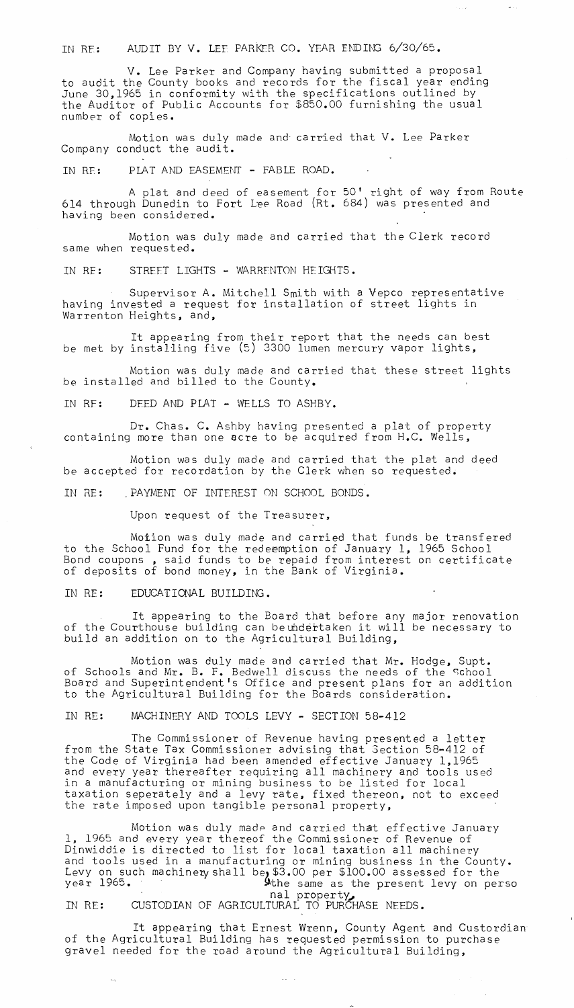IN RE: AUDIT BY V. LEF PARKER CO. YEAR ENDING 6/30/65.

V. Lee Parker and Company having submitted a proposal to audit the County books and records for the fiscal year ending June 30,1965 in conformity with the specifications outlined by the Auditor of Public Accounts for \$850.00 furnishing the usual number of copies.

Motion was duly made and carried that V. Lee Parker Company conduct the audit.

IN RE: PLAT AND EASEMENT - FABLE ROAD.

A plat and deed of easement for 50' right of way from Route 614 through Dunedin to Fort Lee Road (Rt. 684) was presented and having been considered.

Motion was duly made and carried that the Clerk record same when requested.

IN RE: STREET LIGHTS - WARRENTON HEIGHTS.

Supervisor A. Mitchell Smith with a Vepco representative having invested a request for installation of street lights in Warrenton Heights, and,

It appearing from their report that the needs can best be met by installing five (5) 3300 lumen mercury vapor lights,

Motion was duly made and carried that these street lights be installed and billed to the County.

IN RF: DEED AND PLAT - WELLS TO ASHBY.

Dr. Chas. C. Ashby having presented a plat of property containing more than one acre to *be* acquired from H.C. Wells,

Motion was duly made and carried that the plat and deed be accepted for recordation by the Clerk when so requested.

IN RE: . PAYMENT OF INTEREST ON SCHOOL BONDS.

Upon request of the Treasurer,

Motion was duly made and carried that funds be transfered to the School Fund for the redeemption of January 1, 1965 School Bond coupons , said funds to *be* repaid from interest on certificate of deposits of bond money, in the Bank of Virginia.

IN RE: EDUCATIONAL BUILDING.

It appearing to the Board that before any major renovation of the Courthouse building can beundertaken it will be necessary to build an addition on to the Agricultural Building,

Motion was duly made and carried that Mr. Hodge, Supt. of Schools and Mr. B. F. Bedwell discuss the needs of the school Board and Superintendent's Office and present plans for an addition to the Agricultural Building for the Boards consideration.

IN RE: MACHINERY AND TOOLS LEVY - SECTION 58-412

The Commissioner of Revenue having presented a letter from the State Tax Commissioner advising that 3ection 58-412 of the Code of Virginia had been amended effective January 1,1965 and every year thereafter requiring all machinery and tools used in a manufacturing or mining business to be listed for local taxation seperately and a levy rate, fixed thereon, not to exceed the rate imposed upon tangible personal property,

Motion was duly made and carried that effective January 1. 1965 and every year thereof the Commissioner of Revenue of Dinwiddie is directed to list for local taxation all machinery and tools used in a manufacturing or mining business in the County. Levy on such machinery shall be, \$3.00 per \$100.00 assessed for the year 1965.<br>Year 1965.<br>he same as the present levy on perso . . . . nal property

nal property,<br>IN RE: CUSTODIAN OF AGRICULTURAL TO PURCHASE NEEDS.

It appearing that Ernest Wrenn, County Agent and Custordian of the Agricultural Building has requested permission to purchase gravel needed for the road around the Agricultural Building,

 $\omega_{\rm{eff}} = \omega_{\rm{eff}}$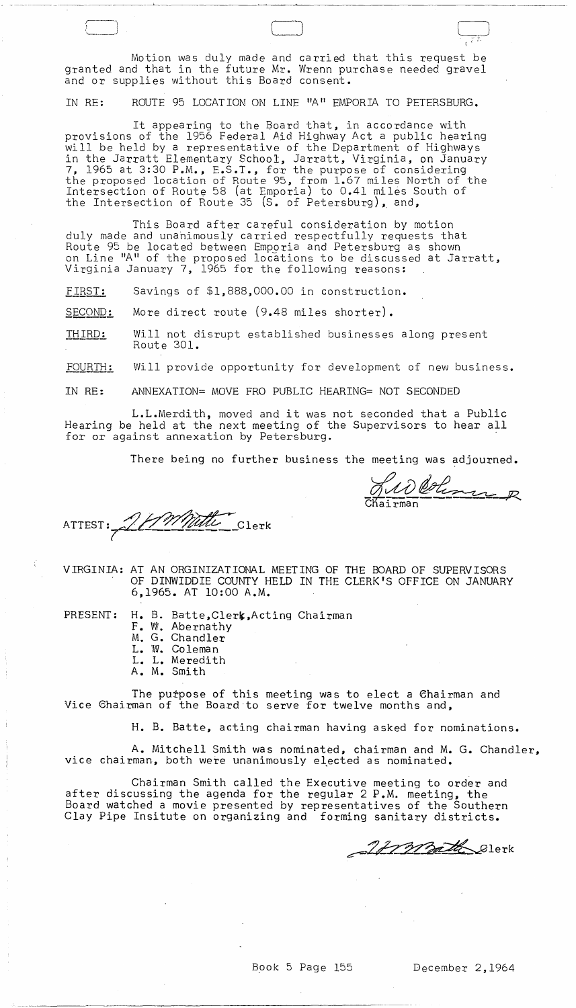Motion was duly made and carried that this request be granted and that in the future Mr. Wrenn purchase needed gravel and or supplies without this Board consent.

IN RE: ROUTE 95 LOCATION ON LINE "A" EMPORIA TO PETERSBURG.

It appearing to the Board that, in accordance with provisions of the 1956 Federal Aid Highway Act a public hearing will be held by a representative of the Department of Highways in the Jarratt Elementary School, Jarratt, Virginia, on January 7, 1965 at 3:30 P.M., F.S.T., for the purpose of considering the proposed location of Route 95, from 1.67 miles North of the Intersection of Route 58 (at Emporia) to 0.41 miles South of the Intersection of Route 35 (S. of Petersburg), and,

This Board after careful consideration by motion duly made and unahimously carried respectfully requests that Route 95 be located between Emporia and Petersburg as shown on Line "A" of the proposed locations to be discussed at Jarratt, Virginia January 7, 1965 for the following reasons:

*E1B§T:* Savings of \$1,888,000.00 in construction.

SECOND: More direct route (9.48 miles shorter).

THIRD: Will not disrupt established businesses along present Route 301.

FOURTH: Will provide opportunity for development of new business.

IN RE: ANNEXATION= MOVE FRO PUBLIC HEARING= NOT SECONDED

L.L.Merdith, moved and it was not seconded that a Public Hearing be held at the next meeting of the Supervisors to hear all for or against annexation by Petersburg.

There being no further business the meeting was adjourned.

Judetinne R

 $\Box$ \' .: ,"-

ATTEST: 21 Mille Clerk

VIRGINIA: AT AN ORGINIZATIONAL MEETING OF THE BOARD OF SUPERVISORS OF DINWIDDIE COUNTY HELD IN THE CLERK'S OFFICE ON JANUARY 6,1965. AT 10:00 A.M.

PRESENT: H. B. Batte, Clerk, Acting Chairman

- F. W. Abernathy M. G. Chandler
- L. W. Coleman
- L. L. Meredith
- A. M. Smith

The purpose of this meeting was to elect a 6hairman and Vice 6hairman of the Board·to serve for twelve months and,

H. B. Batte, acting chairman having asked for nominations.

A. Mitchell Smith was nominated, chairman and M. G. Chandler, vice chairman, both were unanimously elected as nominated.

Chairman Smith called the Executive meeting to order and after discussing the agenda for the regular 2 P.M. meeting, the Board watched a movie presented by representatives of the Southern Clay Pipe Insitute on organizing and forming sanitary districts.

 $\mathcal G$ lerk